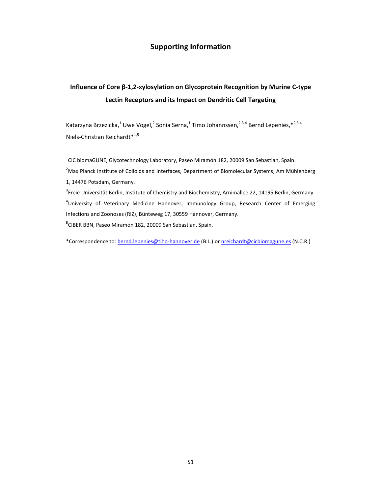## **Supporting Information**

# **Influence of Core β-1,2-xylosylation on Glycoprotein Recognition by Murine C-type Lectin Receptors and its Impact on Dendritic Cell Targeting**

Katarzyna Brzezicka,<sup>1</sup> Uwe Vogel,<sup>2</sup> Sonia Serna,<sup>1</sup> Timo Johannssen,<sup>2,3,4</sup> Bernd Lepenies,\*<sup>2,3,4</sup> Niels-Christian Reichardt\*<sup>1,5</sup>

 $^{1}$ CIC biomaGUNE, Glycotechnology Laboratory, Paseo Miramón 182, 20009 San Sebastian, Spain.  $<sup>2</sup>$ Max Planck Institute of Colloids and Interfaces, Department of Biomolecular Systems, Am Mühlenberg</sup> 1, 14476 Potsdam, Germany.

<sup>3</sup> Freie Universität Berlin, Institute of Chemistry and Biochemistry, Arnimallee 22, 14195 Berlin, Germany. <sup>4</sup>University of Veterinary Medicine Hannover, Immunology Group, Research Center of Emerging Infections and Zoonoses (RIZ), Bünteweg 17, 30559 Hannover, Germany. **5** CIBER BBN, Paseo Miramón 182, 20009 San Sebastian, Spain.

\*Correspondence to: bernd.lepenies@tiho-hannover.de (B.L.) or nreichardt@cicbiomagune.es (N.C.R.)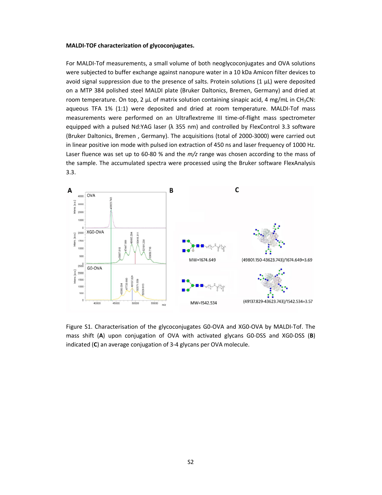### **MALDI-TOF characterization of glycoconjugates.**

For MALDI-Tof measurements, a small volume of both neoglycoconjugates and OVA solutions were subjected to buffer exchange against nanopure water in a 10 kDa Amicon filter devices to avoid signal suppression due to the presence of salts. Protein solutions (1 µL) were deposited on a MTP 384 polished steel MALDI plate (Bruker Daltonics, Bremen, Germany) and dried at room temperature. On top, 2  $\mu$ L of matrix solution containing sinapic acid, 4 mg/mL in CH<sub>3</sub>CN: aqueous TFA 1% (1:1) were deposited and dried at room temperature. MALDI-Tof mass measurements were performed on an Ultraflextreme III time-of-flight mass spectrometer equipped with a pulsed Nd:YAG laser ( $\lambda$  355 nm) and controlled by FlexControl 3.3 software (Bruker Daltonics, Bremen , Germany). The acquisitions (total of 2000-3000) were carried out in linear positive ion mode with pulsed ion extraction of 450 ns and laser frequency of 1000 Hz. Laser fluence was set up to 60-80 % and the *m/z* range was chosen according to the mass of the sample. The accumulated spectra were processed using the Bruker software FlexAnalysis 3.3.



Figure S1. Characterisation of the glycoconjugates G0-OVA and XG0-OVA by MALDI-Tof. The mass shift (**A**) upon conjugation of OVA with activated glycans G0-DSS and XG0-DSS (**B**) indicated (**C**) an average conjugation of 3-4 glycans per OVA molecule.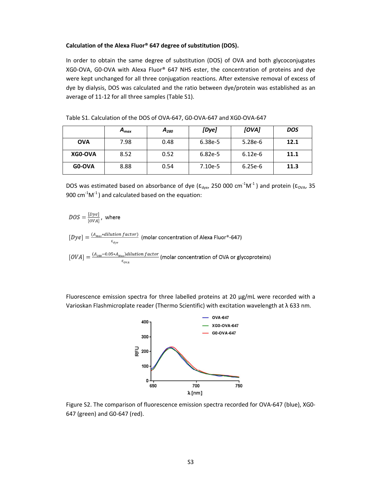### **Calculation of the Alexa Fluor® 647 degree of substitution (DOS).**

In order to obtain the same degree of substitution (DOS) of OVA and both glycoconjugates XG0-OVA, G0-OVA with Alexa Fluor® 647 NHS ester, the concentration of proteins and dye were kept unchanged for all three conjugation reactions. After extensive removal of excess of dye by dialysis, DOS was calculated and the ratio between dye/protein was established as an average of 11-12 for all three samples (Table S1).

|            | $A_{max}$ | $A_{280}$ | [Dye]     | [OVA]     | <b>DOS</b> |
|------------|-----------|-----------|-----------|-----------|------------|
| <b>OVA</b> | 7.98      | 0.48      | 6.38e-5   | $5.28e-6$ | 12.1       |
| XG0-OVA    | 8.52      | 0.52      | 6.82e-5   | $6.12e-6$ | 11.1       |
| GO-OVA     | 8.88      | 0.54      | $7.10e-5$ | $6.25e-6$ | 11.3       |

DOS was estimated based on absorbance of dye ( $\epsilon_{\text{dye}}$ , 250 000 cm<sup>-1</sup>M<sup>-1</sup>) and protein ( $\epsilon_{\text{OVA}}$ , 35 900 cm $^{-1}$ M $^{-1}$ ) and calculated based on the equation:

$$
DOS = \frac{[Dye]}{[OVA]},
$$
 where  
\n
$$
[Dye] = \frac{(A_{Max} * dilution factor)}{\varepsilon_{dye}}
$$
 (molar concentration of Alexa Fluor®-647)  
\n
$$
[OVA] = \frac{(A_{280} - 0.05 * A_{Max}) dilution factor}{\varepsilon_{dya}}
$$
 (molar concentration of OVA or glycoproteins)

Fluorescence emission spectra for three labelled proteins at 20  $\mu$ g/mL were recorded with a Varioskan Flashmicroplate reader (Thermo Scientific) with excitation wavelength at λ 633 nm.



Figure S2. The comparison of fluorescence emission spectra recorded for OVA-647 (blue), XG0- 647 (green) and G0-647 (red).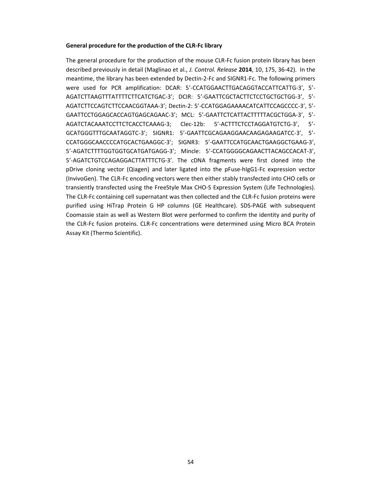#### **General procedure for the production of the CLR-Fc library**

The general procedure for the production of the mouse CLR-Fc fusion protein library has been described previously in detail (Maglinao et al., *J. Control. Release* **2014**, 10, 175, 36-42). In the meantime, the library has been extended by Dectin-2-Fc and SIGNR1-Fc. The following primers were used for PCR amplification: DCAR: 5'-CCATGGAACTTGACAGGTACCATTCATTG-3', 5'- AGATCTTAAGTTTATTTTCTTCATCTGAC-3'; DCIR: 5'-GAATTCGCTACTTCTCCTGCTGCTGG-3', 5'- AGATCTTCCAGTCTTCCAACGGTAAA-3'; Dectin-2: 5'-CCATGGAGAAAACATCATTCCAGCCCC-3', 5'- GAATTCCTGGAGCACCAGTGAGCAGAAC-3'; MCL: 5'-GAATTCTCATTACTTTTTACGCTGGA-3', 5'- AGATCTACAAATCCTTCTCACCTCAAAG-3; Clec-12b: 5'-ACTTTCTCCTAGGATGTCTG-3', 5'- GCATGGGTTTGCAATAGGTC-3'; SIGNR1: 5'-GAATTCGCAGAAGGAACAAGAGAAGATCC-3', 5'- CCATGGGCAACCCCATGCACTGAAGGC-3'; SIGNR3: 5'-GAATTCCATGCAACTGAAGGCTGAAG-3', 5'-AGATCTTTTGGTGGTGCATGATGAGG-3'; Mincle: 5'-CCATGGGGCAGAACTTACAGCCACAT-3', 5'-AGATCTGTCCAGAGGACTTATTTCTG-3'. The cDNA fragments were first cloned into the pDrive cloning vector (Qiagen) and later ligated into the pFuse-hIgG1-Fc expression vector (InvivoGen). The CLR-Fc encoding vectors were then either stably transfected into CHO cells or transiently transfected using the FreeStyle Max CHO-S Expression System (Life Technologies). The CLR-Fc containing cell supernatant was then collected and the CLR-Fc fusion proteins were purified using HiTrap Protein G HP columns (GE Healthcare). SDS-PAGE with subsequent Coomassie stain as well as Western Blot were performed to confirm the identity and purity of the CLR-Fc fusion proteins. CLR-Fc concentrations were determined using Micro BCA Protein Assay Kit (Thermo Scientific).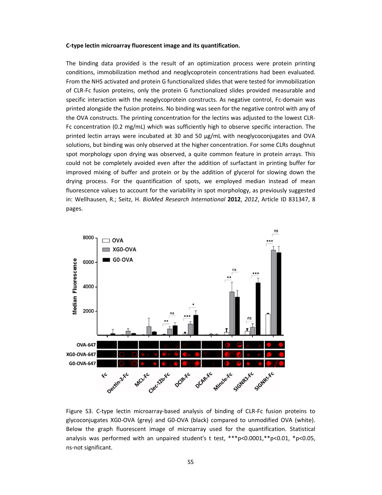#### **C-type lectin microarray fluorescent image and its quantification.**

The binding data provided is the result of an optimization process were protein printing conditions, immobilization method and neoglycoprotein concentrations had been evaluated. From the NHS activated and protein G functionalized slides that were tested for immobilization of CLR-Fc fusion proteins, only the protein G functionalized slides provided measurable and specific interaction with the neoglycoprotein constructs. As negative control, Fc-domain was printed alongside the fusion proteins. No binding was seen for the negative control with any of the OVA constructs. The printing concentration for the lectins was adjusted to the lowest CLR-Fc concentration (0.2 mg/mL) which was sufficiently high to observe specific interaction. The printed lectin arrays were incubated at 30 and 50 µg/mL with neoglycoconjugates and OVA solutions, but binding was only observed at the higher concentration. For some CLRs doughnut spot morphology upon drying was observed, a quite common feature in protein arrays. This could not be completely avoided even after the addition of surfactant in printing buffer for improved mixing of buffer and protein or by the addition of glycerol for slowing down the drying process. For the quantification of spots, we employed median instead of mean fluorescence values to account for the variability in spot morphology, as previously suggested in: Wellhausen, R.; Seitz, H. *BioMed Research International* **2012**, *2012*, Article ID 831347, 8 pages.



Figure S3. C-type lectin microarray-based analysis of binding of CLR-Fc fusion proteins to glycoconjugates XG0-OVA (grey) and G0-OVA (black) compared to unmodified OVA (white). Below the graph fluorescent image of microarray used for the quantification. Statistical analysis was performed with an unpaired student's t test,  $***$  p<0.0001, $*$  $p$ <0.01,  $*$  $p$ <0.05, ns-not significant.